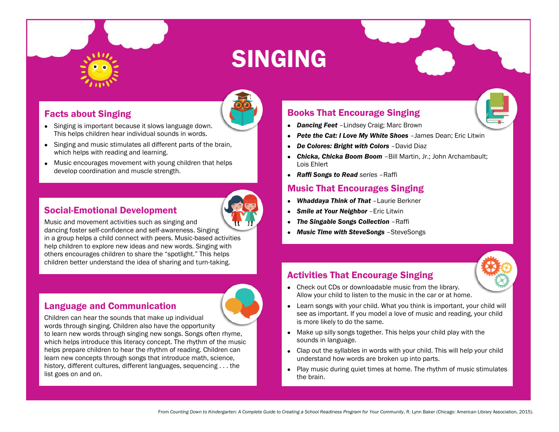

# SINGING

# Facts about Singing

- Singing is important because it slows language down. This helps children hear individual sounds in words.
- Singing and music stimulates all different parts of the brain, which helps with reading and learning.
- Music encourages movement with young children that helps develop coordination and muscle strength.

#### Social-Emotional Development



Music and movement activities such as singing and

dancing foster self-confidence and self-awareness. Singing in a group helps a child connect with peers. Music-based activities help children to explore new ideas and new words. Singing with others encourages children to share the "spotlight." This helps children better understand the idea of sharing and turn-taking.

#### Language and Communication

Children can hear the sounds that make up individual words through singing. Children also have the opportunity to learn new words through singing new songs. Songs often rhyme, which helps introduce this literacy concept. The rhythm of the music helps prepare children to hear the rhythm of reading. Children can learn new concepts through songs that introduce math, science, history, different cultures, different languages, sequencing . . . the list goes on and on.

### Books That Encourage Singing

- *Dancing Feet* –Lindsey Craig; Marc Brown
- **Pete the Cat: I Love My White Shoes** -James Dean; Eric Litwin
- *De Colores: Bright with Colors David Diaz*
- *Chicka, Chicka Boom Boom* –Bill Martin, Jr.; John Archambault; Lois Ehlert
- *Raffi Songs to Read series* –Raffi

#### Music That Encourages Singing

- *Whaddaya Think of That* –Laurie Berkner
- *Smile at Your Neighbor* –Eric Litwin
- *The Singable Songs Collection* –Raffi
- *Music Time with SteveSongs* –SteveSongs

# Activities That Encourage Singing



- Check out CDs or downloadable music from the library. Allow your child to listen to the music in the car or at home.
- Learn songs with your child. What you think is important, your child will see as important. If you model a love of music and reading, your child is more likely to do the same.
- Make up silly songs together. This helps your child play with the sounds in language.
- Clap out the syllables in words with your child. This will help your child understand how words are broken up into parts.
- Play music during quiet times at home. The rhythm of music stimulates the brain.